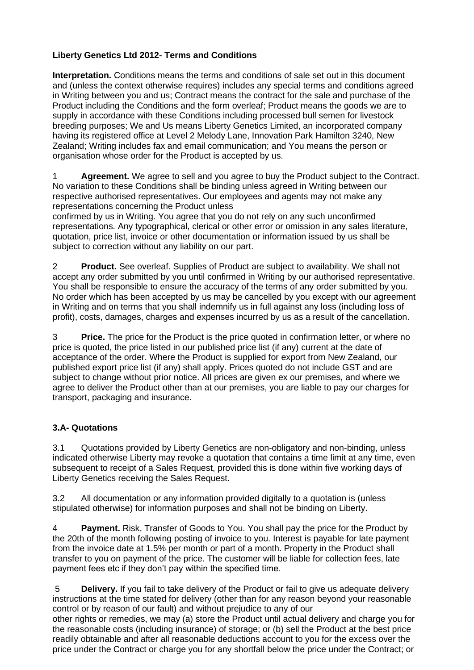## **Liberty Genetics Ltd 2012- Terms and Conditions**

**Interpretation.** Conditions means the terms and conditions of sale set out in this document and (unless the context otherwise requires) includes any special terms and conditions agreed in Writing between you and us; Contract means the contract for the sale and purchase of the Product including the Conditions and the form overleaf; Product means the goods we are to supply in accordance with these Conditions including processed bull semen for livestock breeding purposes; We and Us means Liberty Genetics Limited, an incorporated company having its registered office at Level 2 Melody Lane, Innovation Park Hamilton 3240, New Zealand; Writing includes fax and email communication; and You means the person or organisation whose order for the Product is accepted by us.

**Agreement.** We agree to sell and you agree to buy the Product subject to the Contract. No variation to these Conditions shall be binding unless agreed in Writing between our respective authorised representatives. Our employees and agents may not make any representations concerning the Product unless

confirmed by us in Writing. You agree that you do not rely on any such unconfirmed representations. Any typographical, clerical or other error or omission in any sales literature, quotation, price list, invoice or other documentation or information issued by us shall be subject to correction without any liability on our part.

2 **Product.** See overleaf. Supplies of Product are subject to availability. We shall not accept any order submitted by you until confirmed in Writing by our authorised representative. You shall be responsible to ensure the accuracy of the terms of any order submitted by you. No order which has been accepted by us may be cancelled by you except with our agreement in Writing and on terms that you shall indemnify us in full against any loss (including loss of profit), costs, damages, charges and expenses incurred by us as a result of the cancellation.

3 **Price.** The price for the Product is the price quoted in confirmation letter, or where no price is quoted, the price listed in our published price list (if any) current at the date of acceptance of the order. Where the Product is supplied for export from New Zealand, our published export price list (if any) shall apply. Prices quoted do not include GST and are subject to change without prior notice. All prices are given ex our premises, and where we agree to deliver the Product other than at our premises, you are liable to pay our charges for transport, packaging and insurance.

## **3.A- Quotations**

3.1 Quotations provided by Liberty Genetics are non-obligatory and non-binding, unless indicated otherwise Liberty may revoke a quotation that contains a time limit at any time, even subsequent to receipt of a Sales Request, provided this is done within five working days of Liberty Genetics receiving the Sales Request.

3.2 All documentation or any information provided digitally to a quotation is (unless stipulated otherwise) for information purposes and shall not be binding on Liberty.

4 **Payment.** Risk, Transfer of Goods to You. You shall pay the price for the Product by the 20th of the month following posting of invoice to you. Interest is payable for late payment from the invoice date at 1.5% per month or part of a month. Property in the Product shall transfer to you on payment of the price. The customer will be liable for collection fees, late payment fees etc if they don't pay within the specified time.

5 **Delivery.** If you fail to take delivery of the Product or fail to give us adequate delivery instructions at the time stated for delivery (other than for any reason beyond your reasonable control or by reason of our fault) and without prejudice to any of our other rights or remedies, we may (a) store the Product until actual delivery and charge you for the reasonable costs (including insurance) of storage; or (b) sell the Product at the best price readily obtainable and after all reasonable deductions account to you for the excess over the price under the Contract or charge you for any shortfall below the price under the Contract; or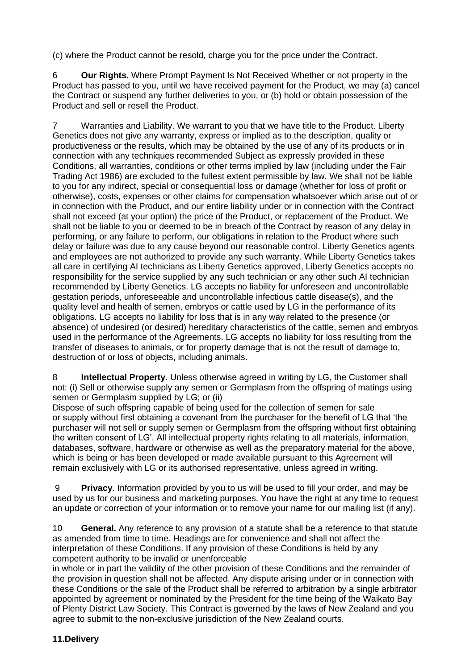(c) where the Product cannot be resold, charge you for the price under the Contract.

6 **Our Rights.** Where Prompt Payment Is Not Received Whether or not property in the Product has passed to you, until we have received payment for the Product, we may (a) cancel the Contract or suspend any further deliveries to you, or (b) hold or obtain possession of the Product and sell or resell the Product.

7 Warranties and Liability. We warrant to you that we have title to the Product. Liberty Genetics does not give any warranty, express or implied as to the description, quality or productiveness or the results, which may be obtained by the use of any of its products or in connection with any techniques recommended Subject as expressly provided in these Conditions, all warranties, conditions or other terms implied by law (including under the Fair Trading Act 1986) are excluded to the fullest extent permissible by law. We shall not be liable to you for any indirect, special or consequential loss or damage (whether for loss of profit or otherwise), costs, expenses or other claims for compensation whatsoever which arise out of or in connection with the Product, and our entire liability under or in connection with the Contract shall not exceed (at your option) the price of the Product, or replacement of the Product. We shall not be liable to you or deemed to be in breach of the Contract by reason of any delay in performing, or any failure to perform, our obligations in relation to the Product where such delay or failure was due to any cause beyond our reasonable control. Liberty Genetics agents and employees are not authorized to provide any such warranty. While Liberty Genetics takes all care in certifying AI technicians as Liberty Genetics approved, Liberty Genetics accepts no responsibility for the service supplied by any such technician or any other such AI technician recommended by Liberty Genetics. LG accepts no liability for unforeseen and uncontrollable gestation periods, unforeseeable and uncontrollable infectious cattle disease(s), and the quality level and health of semen, embryos or cattle used by LG in the performance of its obligations. LG accepts no liability for loss that is in any way related to the presence (or absence) of undesired (or desired) hereditary characteristics of the cattle, semen and embryos used in the performance of the Agreements. LG accepts no liability for loss resulting from the transfer of diseases to animals, or for property damage that is not the result of damage to, destruction of or loss of objects, including animals.

8 **Intellectual Property**. Unless otherwise agreed in writing by LG, the Customer shall not: (i) Sell or otherwise supply any semen or Germplasm from the offspring of matings using semen or Germplasm supplied by LG; or (ii)

Dispose of such offspring capable of being used for the collection of semen for sale or supply without first obtaining a covenant from the purchaser for the benefit of LG that 'the purchaser will not sell or supply semen or Germplasm from the offspring without first obtaining the written consent of LG'. All intellectual property rights relating to all materials, information, databases, software, hardware or otherwise as well as the preparatory material for the above, which is being or has been developed or made available pursuant to this Agreement will remain exclusively with LG or its authorised representative, unless agreed in writing.

9 **Privacy**. Information provided by you to us will be used to fill your order, and may be used by us for our business and marketing purposes. You have the right at any time to request an update or correction of your information or to remove your name for our mailing list (if any).

10 **General.** Any reference to any provision of a statute shall be a reference to that statute as amended from time to time. Headings are for convenience and shall not affect the interpretation of these Conditions. If any provision of these Conditions is held by any competent authority to be invalid or unenforceable

in whole or in part the validity of the other provision of these Conditions and the remainder of the provision in question shall not be affected. Any dispute arising under or in connection with these Conditions or the sale of the Product shall be referred to arbitration by a single arbitrator appointed by agreement or nominated by the President for the time being of the Waikato Bay of Plenty District Law Society. This Contract is governed by the laws of New Zealand and you agree to submit to the non-exclusive jurisdiction of the New Zealand courts.